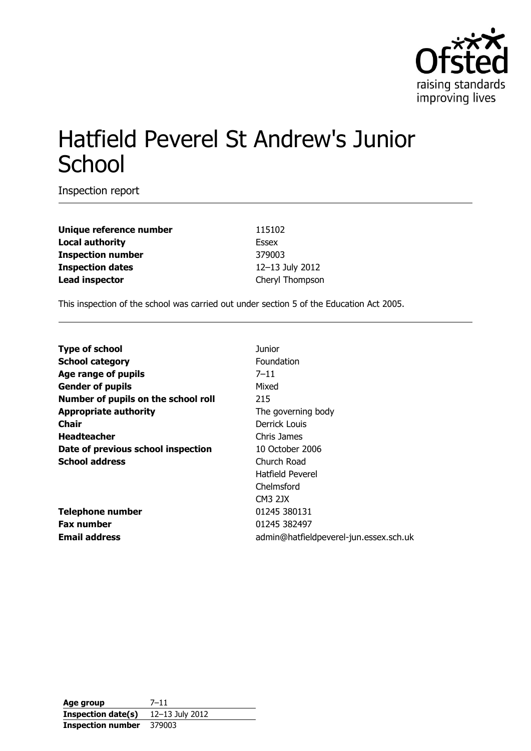

# Hatfield Peverel St Andrew's Junior **School**

Inspection report

**Unique reference number** 115102 **Local authority** Essex **Inspection number** 379003 **Inspection dates** 12–13 July 2012 **Lead inspector** Cheryl Thompson

This inspection of the school was carried out under section 5 of the Education Act 2005.

| <b>Type of school</b>               | Junior                                 |
|-------------------------------------|----------------------------------------|
| <b>School category</b>              | Foundation                             |
| Age range of pupils                 | $7 - 11$                               |
| <b>Gender of pupils</b>             | Mixed                                  |
| Number of pupils on the school roll | 215                                    |
| <b>Appropriate authority</b>        | The governing body                     |
| <b>Chair</b>                        | Derrick Louis                          |
| <b>Headteacher</b>                  | Chris James                            |
| Date of previous school inspection  | 10 October 2006                        |
| <b>School address</b>               | Church Road                            |
|                                     | Hatfield Peverel                       |
|                                     | Chelmsford                             |
|                                     | <b>CM3 2JX</b>                         |
| <b>Telephone number</b>             | 01245 380131                           |
| <b>Fax number</b>                   | 01245 382497                           |
| <b>Email address</b>                | admin@hatfieldpeverel-jun.essex.sch.uk |

**Age group** 7–11 **Inspection date(s)** 12–13 July 2012 **Inspection number** 379003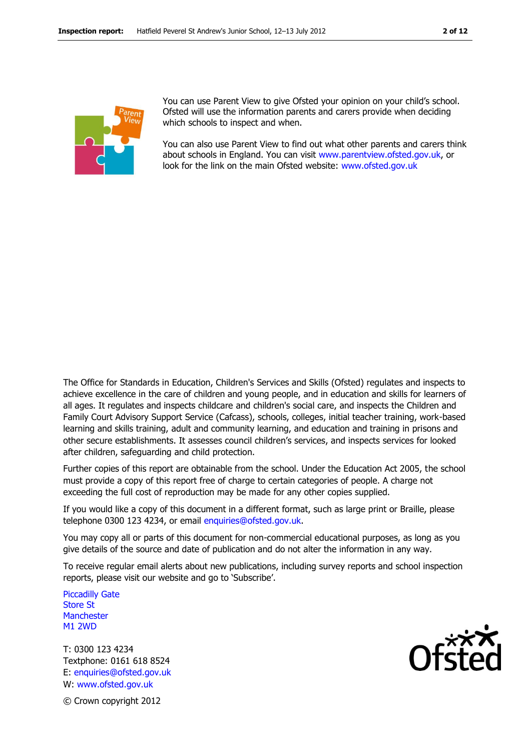

You can use Parent View to give Ofsted your opinion on your child's school. Ofsted will use the information parents and carers provide when deciding which schools to inspect and when.

You can also use Parent View to find out what other parents and carers think about schools in England. You can visit [www.parentview.ofsted.gov.uk,](http://www.parentview.ofsted.gov.uk/) or look for the link on the main Ofsted website: [www.ofsted.gov.uk](http://www.ofsted.gov.uk/)

The Office for Standards in Education, Children's Services and Skills (Ofsted) regulates and inspects to achieve excellence in the care of children and young people, and in education and skills for learners of all ages. It regulates and inspects childcare and children's social care, and inspects the Children and Family Court Advisory Support Service (Cafcass), schools, colleges, initial teacher training, work-based learning and skills training, adult and community learning, and education and training in prisons and other secure establishments. It assesses council children's services, and inspects services for looked after children, safeguarding and child protection.

Further copies of this report are obtainable from the school. Under the Education Act 2005, the school must provide a copy of this report free of charge to certain categories of people. A charge not exceeding the full cost of reproduction may be made for any other copies supplied.

If you would like a copy of this document in a different format, such as large print or Braille, please telephone 0300 123 4234, or email enquiries@ofsted.gov.uk.

You may copy all or parts of this document for non-commercial educational purposes, as long as you give details of the source and date of publication and do not alter the information in any way.

To receive regular email alerts about new publications, including survey reports and school inspection reports, please visit our website and go to 'Subscribe'.

Piccadilly Gate Store St **Manchester** M1 2WD

T: 0300 123 4234 Textphone: 0161 618 8524 E: enquiries@ofsted.gov.uk W: www.ofsted.gov.uk



© Crown copyright 2012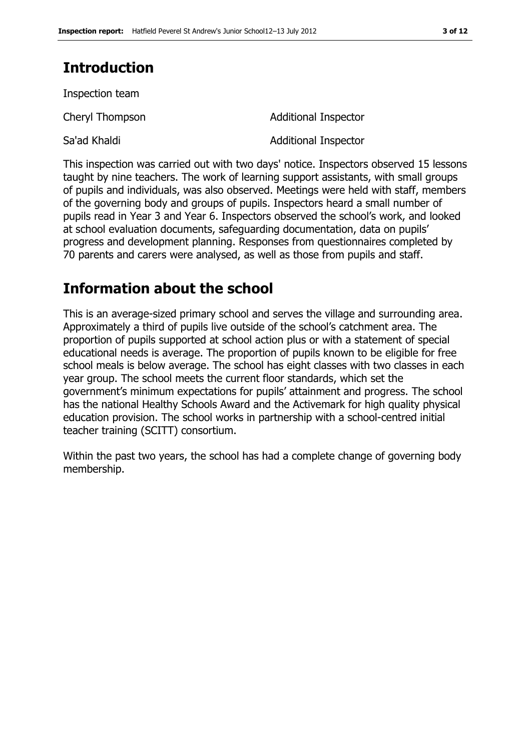# **Introduction**

Inspection team

Cheryl Thompson **Additional Inspector** Sa'ad Khaldi Additional Inspector

This inspection was carried out with two days' notice. Inspectors observed 15 lessons taught by nine teachers. The work of learning support assistants, with small groups of pupils and individuals, was also observed. Meetings were held with staff, members of the governing body and groups of pupils. Inspectors heard a small number of pupils read in Year 3 and Year 6. Inspectors observed the school's work, and looked at school evaluation documents, safeguarding documentation, data on pupils' progress and development planning. Responses from questionnaires completed by 70 parents and carers were analysed, as well as those from pupils and staff.

# **Information about the school**

This is an average-sized primary school and serves the village and surrounding area. Approximately a third of pupils live outside of the school's catchment area. The proportion of pupils supported at school action plus or with a statement of special educational needs is average. The proportion of pupils known to be eligible for free school meals is below average. The school has eight classes with two classes in each year group. The school meets the current floor standards, which set the government's minimum expectations for pupils' attainment and progress. The school has the national Healthy Schools Award and the Activemark for high quality physical education provision. The school works in partnership with a school-centred initial teacher training (SCITT) consortium.

Within the past two years, the school has had a complete change of governing body membership.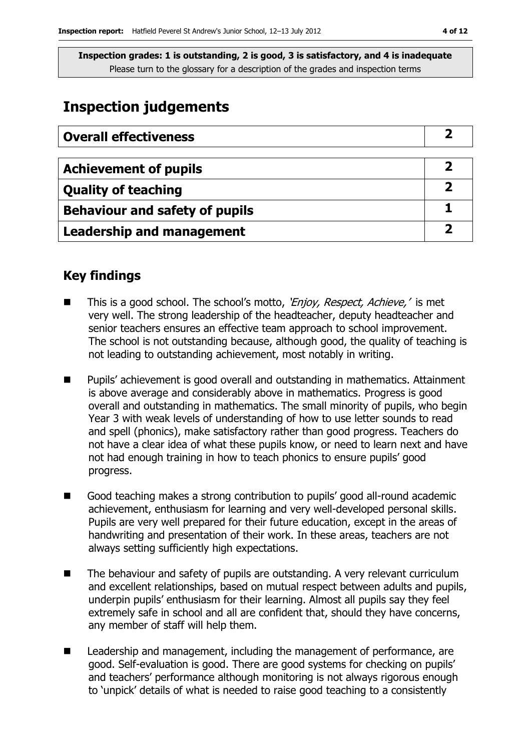## **Inspection judgements**

| <b>Overall effectiveness</b>          |  |
|---------------------------------------|--|
|                                       |  |
| <b>Achievement of pupils</b>          |  |
| <b>Quality of teaching</b>            |  |
| <b>Behaviour and safety of pupils</b> |  |
| <b>Leadership and management</b>      |  |

### **Key findings**

- This is a good school. The school's motto, 'Enjoy, Respect, Achieve,' is met very well. The strong leadership of the headteacher, deputy headteacher and senior teachers ensures an effective team approach to school improvement. The school is not outstanding because, although good, the quality of teaching is not leading to outstanding achievement, most notably in writing.
- Pupils' achievement is good overall and outstanding in mathematics. Attainment is above average and considerably above in mathematics. Progress is good overall and outstanding in mathematics. The small minority of pupils, who begin Year 3 with weak levels of understanding of how to use letter sounds to read and spell (phonics), make satisfactory rather than good progress. Teachers do not have a clear idea of what these pupils know, or need to learn next and have not had enough training in how to teach phonics to ensure pupils' good progress.
- Good teaching makes a strong contribution to pupils' good all-round academic achievement, enthusiasm for learning and very well-developed personal skills. Pupils are very well prepared for their future education, except in the areas of handwriting and presentation of their work. In these areas, teachers are not always setting sufficiently high expectations.
- The behaviour and safety of pupils are outstanding. A very relevant curriculum and excellent relationships, based on mutual respect between adults and pupils, underpin pupils' enthusiasm for their learning. Almost all pupils say they feel extremely safe in school and all are confident that, should they have concerns, any member of staff will help them.
- Leadership and management, including the management of performance, are good. Self-evaluation is good. There are good systems for checking on pupils' and teachers' performance although monitoring is not always rigorous enough to 'unpick' details of what is needed to raise good teaching to a consistently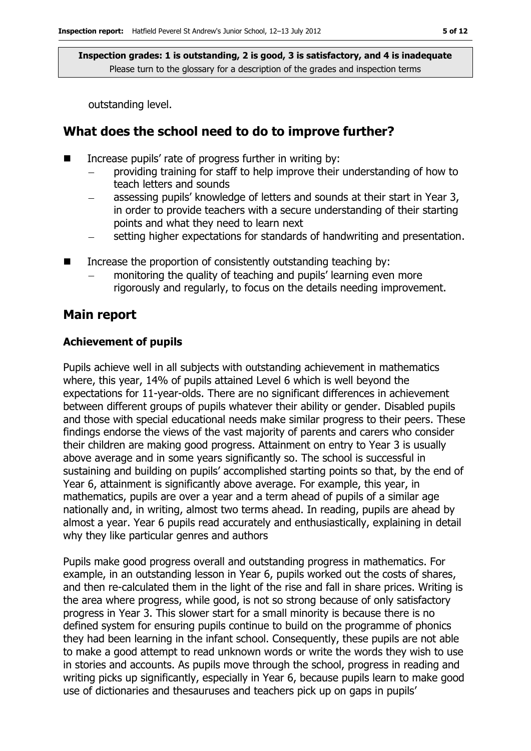outstanding level.

### **What does the school need to do to improve further?**

- Increase pupils' rate of progress further in writing by:
	- providing training for staff to help improve their understanding of how to teach letters and sounds
	- assessing pupils' knowledge of letters and sounds at their start in Year 3, in order to provide teachers with a secure understanding of their starting points and what they need to learn next
	- setting higher expectations for standards of handwriting and presentation.
- Increase the proportion of consistently outstanding teaching by:
	- monitoring the quality of teaching and pupils' learning even more rigorously and regularly, to focus on the details needing improvement.

#### **Main report**

#### **Achievement of pupils**

Pupils achieve well in all subjects with outstanding achievement in mathematics where, this year, 14% of pupils attained Level 6 which is well beyond the expectations for 11-year-olds. There are no significant differences in achievement between different groups of pupils whatever their ability or gender. Disabled pupils and those with special educational needs make similar progress to their peers. These findings endorse the views of the vast majority of parents and carers who consider their children are making good progress. Attainment on entry to Year 3 is usually above average and in some years significantly so. The school is successful in sustaining and building on pupils' accomplished starting points so that, by the end of Year 6, attainment is significantly above average. For example, this year, in mathematics, pupils are over a year and a term ahead of pupils of a similar age nationally and, in writing, almost two terms ahead. In reading, pupils are ahead by almost a year. Year 6 pupils read accurately and enthusiastically, explaining in detail why they like particular genres and authors

Pupils make good progress overall and outstanding progress in mathematics. For example, in an outstanding lesson in Year 6, pupils worked out the costs of shares, and then re-calculated them in the light of the rise and fall in share prices. Writing is the area where progress, while good, is not so strong because of only satisfactory progress in Year 3. This slower start for a small minority is because there is no defined system for ensuring pupils continue to build on the programme of phonics they had been learning in the infant school. Consequently, these pupils are not able to make a good attempt to read unknown words or write the words they wish to use in stories and accounts. As pupils move through the school, progress in reading and writing picks up significantly, especially in Year 6, because pupils learn to make good use of dictionaries and thesauruses and teachers pick up on gaps in pupils'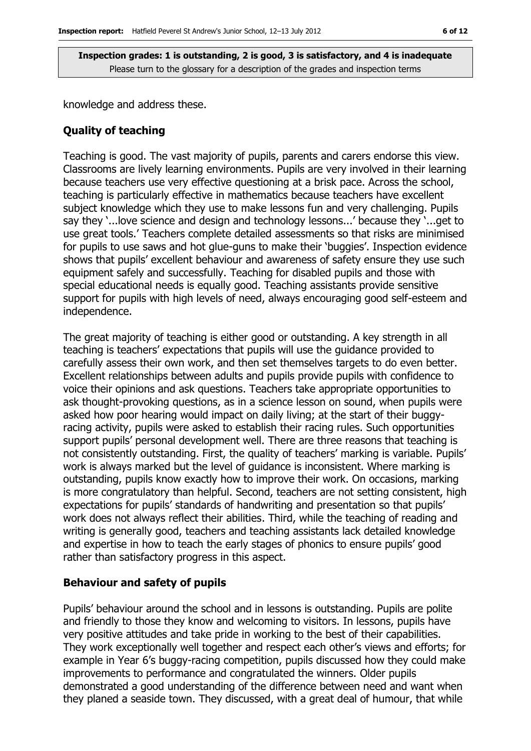knowledge and address these.

#### **Quality of teaching**

Teaching is good. The vast majority of pupils, parents and carers endorse this view. Classrooms are lively learning environments. Pupils are very involved in their learning because teachers use very effective questioning at a brisk pace. Across the school, teaching is particularly effective in mathematics because teachers have excellent subject knowledge which they use to make lessons fun and very challenging. Pupils say they '...love science and design and technology lessons...' because they '...get to use great tools.' Teachers complete detailed assessments so that risks are minimised for pupils to use saws and hot glue-guns to make their 'buggies'. Inspection evidence shows that pupils' excellent behaviour and awareness of safety ensure they use such equipment safely and successfully. Teaching for disabled pupils and those with special educational needs is equally good. Teaching assistants provide sensitive support for pupils with high levels of need, always encouraging good self-esteem and independence.

The great majority of teaching is either good or outstanding. A key strength in all teaching is teachers' expectations that pupils will use the guidance provided to carefully assess their own work, and then set themselves targets to do even better. Excellent relationships between adults and pupils provide pupils with confidence to voice their opinions and ask questions. Teachers take appropriate opportunities to ask thought-provoking questions, as in a science lesson on sound, when pupils were asked how poor hearing would impact on daily living; at the start of their buggyracing activity, pupils were asked to establish their racing rules. Such opportunities support pupils' personal development well. There are three reasons that teaching is not consistently outstanding. First, the quality of teachers' marking is variable. Pupils' work is always marked but the level of guidance is inconsistent. Where marking is outstanding, pupils know exactly how to improve their work. On occasions, marking is more congratulatory than helpful. Second, teachers are not setting consistent, high expectations for pupils' standards of handwriting and presentation so that pupils' work does not always reflect their abilities. Third, while the teaching of reading and writing is generally good, teachers and teaching assistants lack detailed knowledge and expertise in how to teach the early stages of phonics to ensure pupils' good rather than satisfactory progress in this aspect.

#### **Behaviour and safety of pupils**

Pupils' behaviour around the school and in lessons is outstanding. Pupils are polite and friendly to those they know and welcoming to visitors. In lessons, pupils have very positive attitudes and take pride in working to the best of their capabilities. They work exceptionally well together and respect each other's views and efforts; for example in Year 6's buggy-racing competition, pupils discussed how they could make improvements to performance and congratulated the winners. Older pupils demonstrated a good understanding of the difference between need and want when they planed a seaside town. They discussed, with a great deal of humour, that while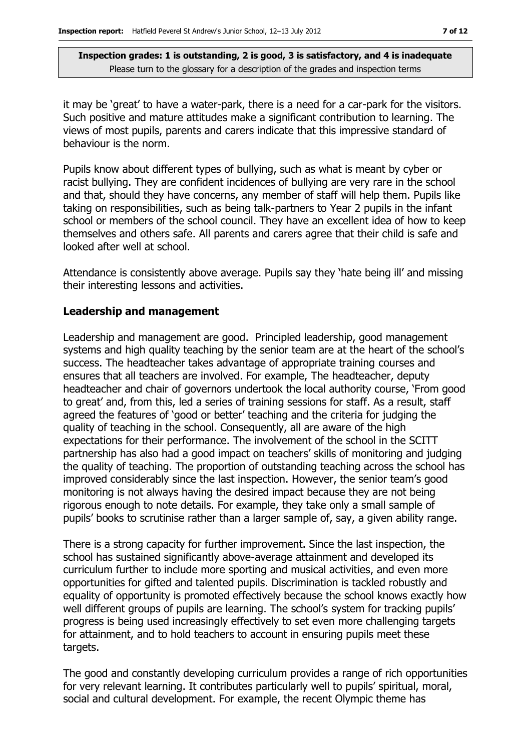it may be 'great' to have a water-park, there is a need for a car-park for the visitors. Such positive and mature attitudes make a significant contribution to learning. The views of most pupils, parents and carers indicate that this impressive standard of behaviour is the norm.

Pupils know about different types of bullying, such as what is meant by cyber or racist bullying. They are confident incidences of bullying are very rare in the school and that, should they have concerns, any member of staff will help them. Pupils like taking on responsibilities, such as being talk-partners to Year 2 pupils in the infant school or members of the school council. They have an excellent idea of how to keep themselves and others safe. All parents and carers agree that their child is safe and looked after well at school.

Attendance is consistently above average. Pupils say they 'hate being ill' and missing their interesting lessons and activities.

#### **Leadership and management**

Leadership and management are good. Principled leadership, good management systems and high quality teaching by the senior team are at the heart of the school's success. The headteacher takes advantage of appropriate training courses and ensures that all teachers are involved. For example, The headteacher, deputy headteacher and chair of governors undertook the local authority course, 'From good to great' and, from this, led a series of training sessions for staff. As a result, staff agreed the features of 'good or better' teaching and the criteria for judging the quality of teaching in the school. Consequently, all are aware of the high expectations for their performance. The involvement of the school in the SCITT partnership has also had a good impact on teachers' skills of monitoring and judging the quality of teaching. The proportion of outstanding teaching across the school has improved considerably since the last inspection. However, the senior team's good monitoring is not always having the desired impact because they are not being rigorous enough to note details. For example, they take only a small sample of pupils' books to scrutinise rather than a larger sample of, say, a given ability range.

There is a strong capacity for further improvement. Since the last inspection, the school has sustained significantly above-average attainment and developed its curriculum further to include more sporting and musical activities, and even more opportunities for gifted and talented pupils. Discrimination is tackled robustly and equality of opportunity is promoted effectively because the school knows exactly how well different groups of pupils are learning. The school's system for tracking pupils' progress is being used increasingly effectively to set even more challenging targets for attainment, and to hold teachers to account in ensuring pupils meet these targets.

The good and constantly developing curriculum provides a range of rich opportunities for very relevant learning. It contributes particularly well to pupils' spiritual, moral, social and cultural development. For example, the recent Olympic theme has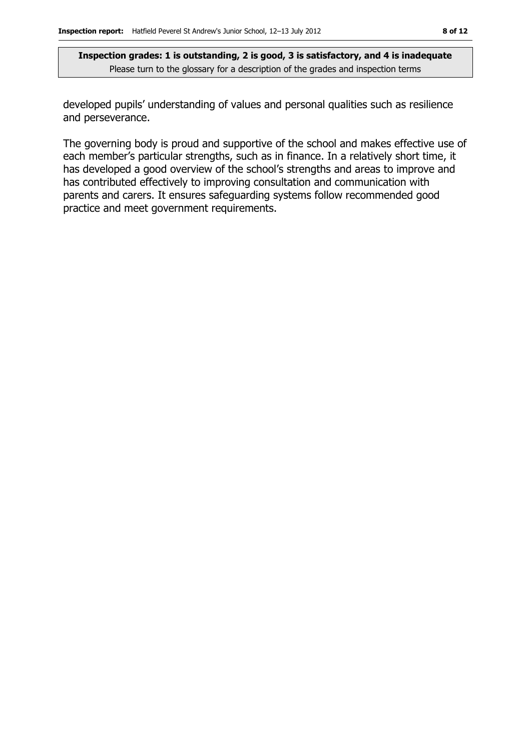developed pupils' understanding of values and personal qualities such as resilience and perseverance.

The governing body is proud and supportive of the school and makes effective use of each member's particular strengths, such as in finance. In a relatively short time, it has developed a good overview of the school's strengths and areas to improve and has contributed effectively to improving consultation and communication with parents and carers. It ensures safeguarding systems follow recommended good practice and meet government requirements.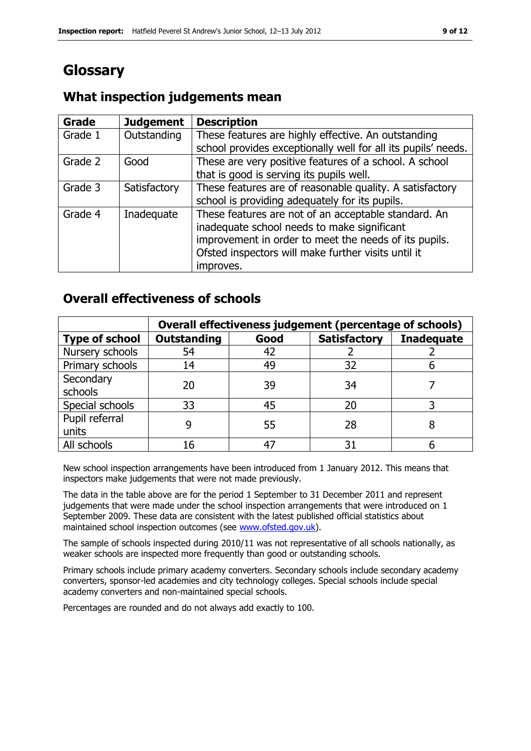# **Glossary**

#### **Grade Judgement Description** Grade  $1$  | Outstanding | These features are highly effective. An outstanding school provides exceptionally well for all its pupils' needs. Grade 2  $\Box$  Good These are very positive features of a school. A school that is good is serving its pupils well. Grade 3  $\parallel$  Satisfactory  $\parallel$  These features are of reasonable quality. A satisfactory school is providing adequately for its pupils. Grade 4 | Inadequate | These features are not of an acceptable standard. An inadequate school needs to make significant improvement in order to meet the needs of its pupils. Ofsted inspectors will make further visits until it improves.

### **What inspection judgements mean**

### **Overall effectiveness of schools**

|                         | Overall effectiveness judgement (percentage of schools) |      |                     |                   |
|-------------------------|---------------------------------------------------------|------|---------------------|-------------------|
| <b>Type of school</b>   | <b>Outstanding</b>                                      | Good | <b>Satisfactory</b> | <b>Inadequate</b> |
| Nursery schools         | 54                                                      | 42   |                     |                   |
| Primary schools         | 14                                                      | 49   | 32                  |                   |
| Secondary<br>schools    | 20                                                      | 39   | 34                  |                   |
| Special schools         | 33                                                      | 45   | 20                  |                   |
| Pupil referral<br>units |                                                         | 55   | 28                  |                   |
| All schools             | 16                                                      | 47   | 31                  |                   |

New school inspection arrangements have been introduced from 1 January 2012. This means that inspectors make judgements that were not made previously.

The data in the table above are for the period 1 September to 31 December 2011 and represent judgements that were made under the school inspection arrangements that were introduced on 1 September 2009. These data are consistent with the latest published official statistics about maintained school inspection outcomes (see [www.ofsted.gov.uk\)](http://www.ofsted.gov.uk/).

The sample of schools inspected during 2010/11 was not representative of all schools nationally, as weaker schools are inspected more frequently than good or outstanding schools.

Primary schools include primary academy converters. Secondary schools include secondary academy converters, sponsor-led academies and city technology colleges. Special schools include special academy converters and non-maintained special schools.

Percentages are rounded and do not always add exactly to 100.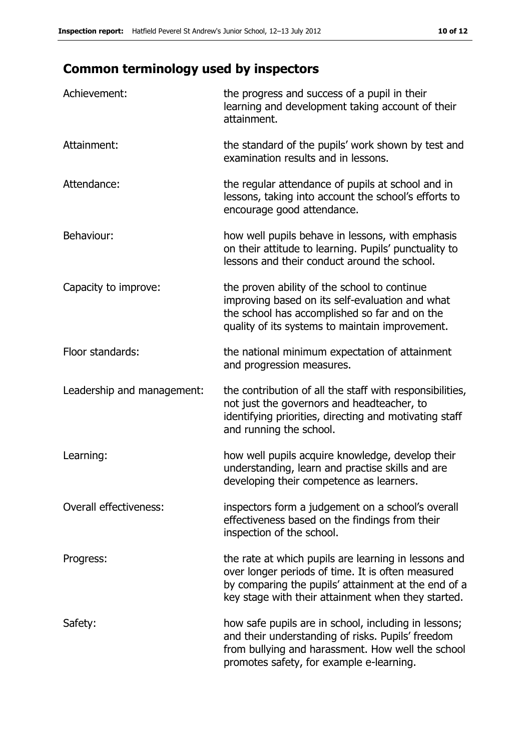# **Common terminology used by inspectors**

| Achievement:                  | the progress and success of a pupil in their<br>learning and development taking account of their<br>attainment.                                                                                                        |
|-------------------------------|------------------------------------------------------------------------------------------------------------------------------------------------------------------------------------------------------------------------|
| Attainment:                   | the standard of the pupils' work shown by test and<br>examination results and in lessons.                                                                                                                              |
| Attendance:                   | the regular attendance of pupils at school and in<br>lessons, taking into account the school's efforts to<br>encourage good attendance.                                                                                |
| Behaviour:                    | how well pupils behave in lessons, with emphasis<br>on their attitude to learning. Pupils' punctuality to<br>lessons and their conduct around the school.                                                              |
| Capacity to improve:          | the proven ability of the school to continue<br>improving based on its self-evaluation and what<br>the school has accomplished so far and on the<br>quality of its systems to maintain improvement.                    |
| Floor standards:              | the national minimum expectation of attainment<br>and progression measures.                                                                                                                                            |
| Leadership and management:    | the contribution of all the staff with responsibilities,<br>not just the governors and headteacher, to<br>identifying priorities, directing and motivating staff<br>and running the school.                            |
| Learning:                     | how well pupils acquire knowledge, develop their<br>understanding, learn and practise skills and are<br>developing their competence as learners.                                                                       |
| <b>Overall effectiveness:</b> | inspectors form a judgement on a school's overall<br>effectiveness based on the findings from their<br>inspection of the school.                                                                                       |
| Progress:                     | the rate at which pupils are learning in lessons and<br>over longer periods of time. It is often measured<br>by comparing the pupils' attainment at the end of a<br>key stage with their attainment when they started. |
| Safety:                       | how safe pupils are in school, including in lessons;<br>and their understanding of risks. Pupils' freedom<br>from bullying and harassment. How well the school<br>promotes safety, for example e-learning.             |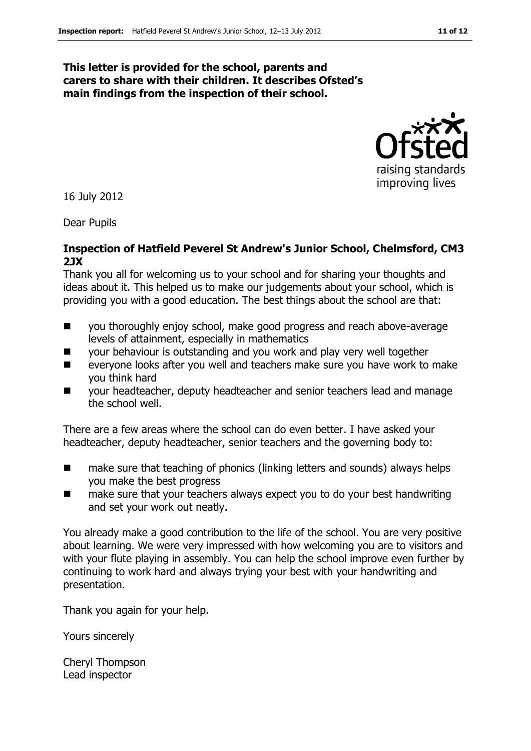#### **This letter is provided for the school, parents and carers to share with their children. It describes Ofsted's main findings from the inspection of their school.**



16 July 2012

Dear Pupils

#### **Inspection of Hatfield Peverel St Andrew's Junior School, Chelmsford, CM3 2JX**

Thank you all for welcoming us to your school and for sharing your thoughts and ideas about it. This helped us to make our judgements about your school, which is providing you with a good education. The best things about the school are that:

- you thoroughly enjoy school, make good progress and reach above-average levels of attainment, especially in mathematics
- your behaviour is outstanding and you work and play very well together
- **EXECTE:** everyone looks after you well and teachers make sure you have work to make you think hard
- your headteacher, deputy headteacher and senior teachers lead and manage the school well.

There are a few areas where the school can do even better. I have asked your headteacher, deputy headteacher, senior teachers and the governing body to:

- make sure that teaching of phonics (linking letters and sounds) always helps you make the best progress
- make sure that your teachers always expect you to do your best handwriting and set your work out neatly.

You already make a good contribution to the life of the school. You are very positive about learning. We were very impressed with how welcoming you are to visitors and with your flute playing in assembly. You can help the school improve even further by continuing to work hard and always trying your best with your handwriting and presentation.

Thank you again for your help.

Yours sincerely

Cheryl Thompson Lead inspector